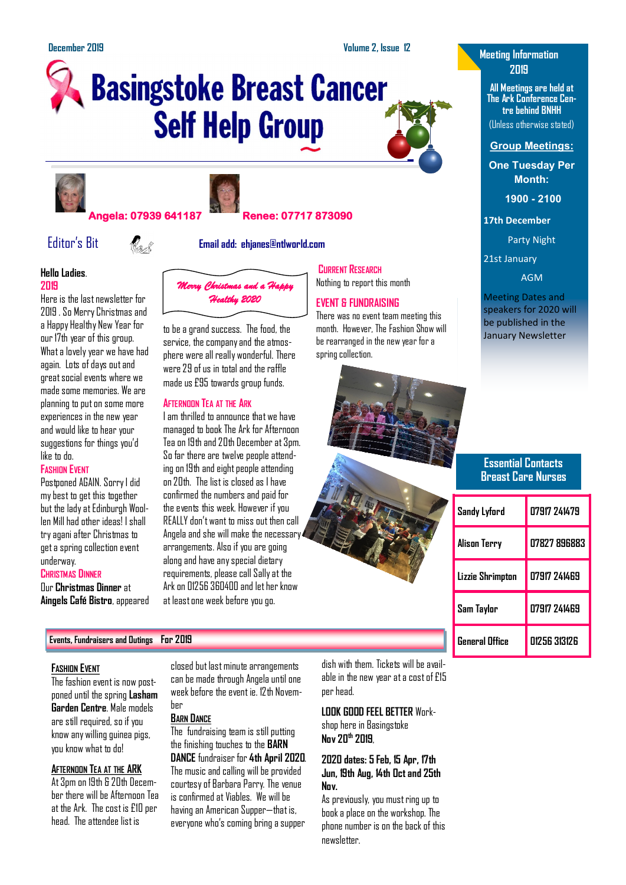**CURRENT RESEARCH** Nothing to report this month

spring collection.

**EVENT & FUNDRAISING**

There was no event team meeting this month. However, The Fashion Show will be rearranged in the new year for a

# **Basingstoke Breast Cancer Self Help Group**







# **Angela: 07939 641187 Renee: 07717 873090**

# Editor's Bit **Email add: ehjanes@ntlworld.com**



#### **Hello Ladies**. **2019**

Here is the last newsletter for 2019 . So Merry Christmas and a Happy Healthy New Year for our 17th year of this group. What a lovely year we have had again. Lots of days out and great social events where we made some memories. We are planning to put on some more experiences in the new year and would like to hear your suggestions for things you'd like to do.

# **FASHION EVENT**

Postponed AGAIN. Sorry I did my best to get this together but the lady at Edinburgh Woollen Mill had other ideas! I shall try agani after Christmas to get a spring collection event underway.

#### **CHRISTMAS DINNER**

Our **Christmas Dinner** at **Aingels Café Bistro**, appeared

# **Events, Fundraisers and Outings For 2019**

# **FASHION EVENT**

The fashion event is now postponed until the spring **Lasham Garden Centre**. Male models are still required, so if you know any willing guinea pigs, you know what to do!

# **AFTERNOON TEA AT THE ARK**

At 3pm on 19th & 20th December there will be Afternoon Tea at the Ark. The cost is £10 per head. The attendee list is

closed but last minute arrangements can be made through Angela until one week before the event ie. 12th November

# **BARN DANCE**

The fundraising team is still putting the finishing touches to the **BARN DANCE** fundraiser for **4th April 2020**. The music and calling will be provided courtesy of Barbara Parry. The venue is confirmed at Viables. We will be having an American Supper—that is, everyone who's coming bring a supper

dish with them. Tickets will be available in the new year at a cost of £15 per head.

# **LOOK GOOD FEEL BETTER** Workshop here in Basingstoke **Nov 20th 2019**,

# **2020 dates: 5 Feb, 15 Apr, 17th Jun, 19th Aug, 14th Oct and 25th Nov.**

As previously, you must ring up to book a place on the workshop. The phone number is on the back of this newsletter.

# **Meeting Information 2019**

**All Meetings are held at The Ark Conference Centre behind BNHH**

(Unless otherwise stated)

**Group Meetings:**

**One Tuesday Per Month:**

**1900 - 2100** 

**17th December**

Party Night

21st January

AGM

Meeting Dates and speakers for 2020 will be published in the January Newsletter

# **Essential Contacts Breast Care Nurses**

| Sandy Lyford     | 07917 241479 |
|------------------|--------------|
| Alison Terry     | 07827 896883 |
| Lizzie Shrimpton | 07917 241469 |
| Sam Taylor       | 07917 241469 |
| General Office   | 01256 313126 |

# *Merry Christmas and a Happy*

*Healthy 2020* 

to be a grand success. The food, the service, the company and the atmosphere were all really wonderful. There were 29 of us in total and the raffle made us £95 towards group funds.

# **AFTERNOON TEA AT THE ARK**

I am thrilled to announce that we have managed to book The Ark for Afternoon Tea on 19th and 20th December at 3pm. So far there are twelve people attending on 19th and eight people attending on 20th. The list is closed as I have confirmed the numbers and paid for the events this week. However if you REALLY don't want to miss out then call Angela and she will make the necessary arrangements. Also if you are going along and have any special dietary requirements, please call Sally at the Ark on 01256 360400 and let her know at least one week before you go.